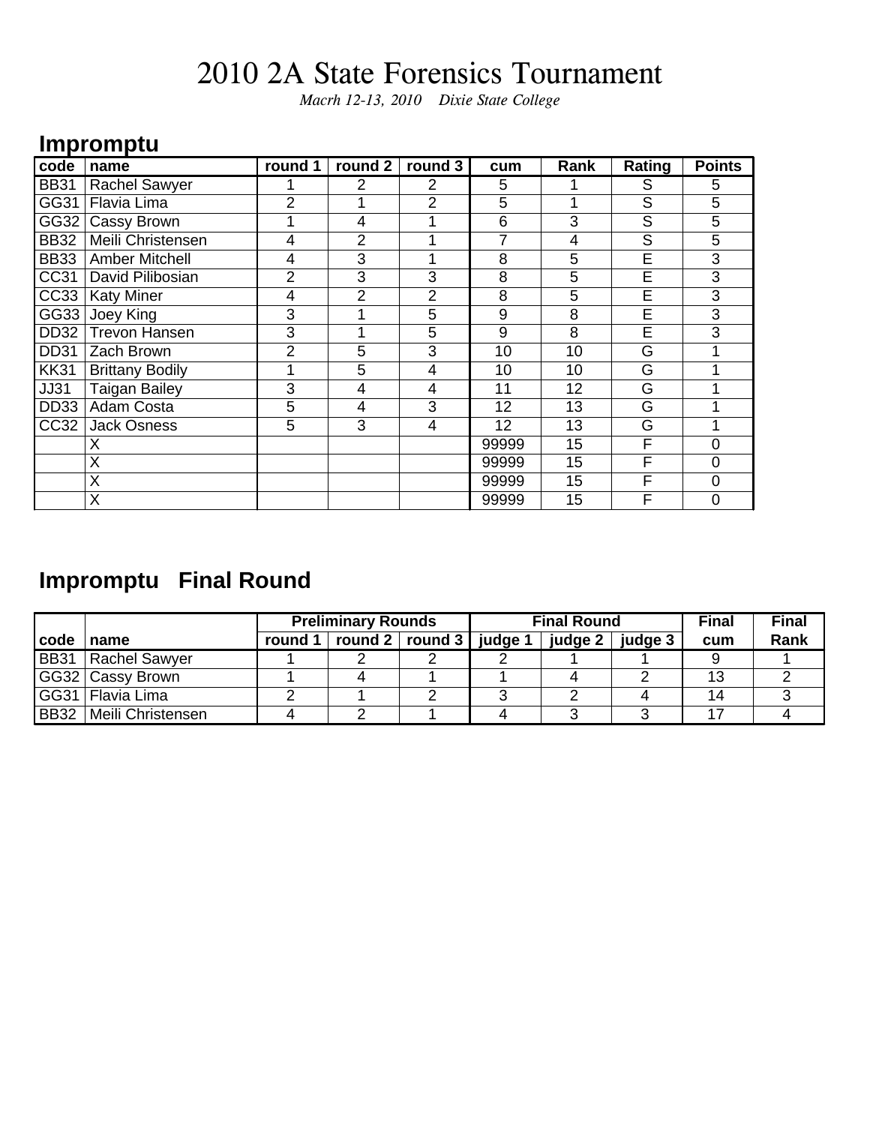*Macrh 12-13, 2010 Dixie State College*

#### **Impromptu**

| code             | name                   | round 1        | round 2        | round 3        | cum   | Rank                    | Rating                  | <b>Points</b>  |
|------------------|------------------------|----------------|----------------|----------------|-------|-------------------------|-------------------------|----------------|
| <b>BB31</b>      | <b>Rachel Sawyer</b>   |                | 2              | 2              | 5     |                         | S                       | 5              |
| GG31             | Flavia Lima            | $\overline{2}$ |                | $\overline{2}$ | 5     |                         | S                       | 5              |
| GG32             | Cassy Brown            | 1              | 4              |                | 6     | 3                       | $\overline{\mathsf{S}}$ | 5              |
| <b>BB32</b>      | Meili Christensen      | 4              | $\overline{2}$ |                | 7     | $\overline{\mathbf{4}}$ | S                       | 5              |
| <b>BB33</b>      | <b>Amber Mitchell</b>  | 4              | 3              |                | 8     | 5                       | E                       | 3              |
| CC31             | David Pilibosian       | $\overline{2}$ | 3              | 3              | 8     | 5                       | Ē                       | $\overline{3}$ |
| CC33             | <b>Katy Miner</b>      | 4              | $\overline{2}$ | $\overline{2}$ | 8     | 5                       | E                       | 3              |
| GG33             | Joey King              | 3              |                | 5              | 9     | 8                       | E                       | 3              |
| DD <sub>32</sub> | <b>Trevon Hansen</b>   | 3              |                | 5              | 9     | 8                       | E                       | 3              |
| DD31             | Zach Brown             | $\overline{2}$ | 5              | 3              | 10    | 10                      | G                       |                |
| KK31             | <b>Brittany Bodily</b> | 1              | 5              | 4              | 10    | 10                      | G                       |                |
| <b>JJ31</b>      | <b>Taigan Bailey</b>   | 3              | 4              | 4              | 11    | 12                      | G                       |                |
| DD <sub>33</sub> | Adam Costa             | 5              | 4              | 3              | 12    | 13                      | G                       |                |
| CC32             | <b>Jack Osness</b>     | 5              | 3              | 4              | 12    | 13                      | G                       |                |
|                  | Χ                      |                |                |                | 99999 | 15                      | F                       | 0              |
|                  | X                      |                |                |                | 99999 | 15                      | F                       | $\mathbf 0$    |
|                  | Χ                      |                |                |                | 99999 | 15                      | F                       | $\mathbf 0$    |
|                  | Χ                      |                |                |                | 99999 | 15                      | F                       | $\mathbf 0$    |

### **Impromptu Final Round**

|             |                      |         | <b>Preliminary Rounds</b>                       |  | <b>Final Round</b> | <b>Final</b> | <b>Final</b> |      |
|-------------|----------------------|---------|-------------------------------------------------|--|--------------------|--------------|--------------|------|
| code        | ∣ name               | round 1 | $\vert$ round 2 $\vert$ round 3 $\vert$ judge 1 |  | judge 2            | judge 3      | cum          | Rank |
| <b>BB31</b> | <b>Rachel Sawyer</b> |         |                                                 |  |                    |              |              |      |
|             | GG32 Cassy Brown     |         |                                                 |  |                    |              | 13           |      |
|             | GG31   Flavia Lima   |         |                                                 |  |                    |              | 14           |      |
| BB32        | Meili Christensen    |         |                                                 |  |                    |              |              |      |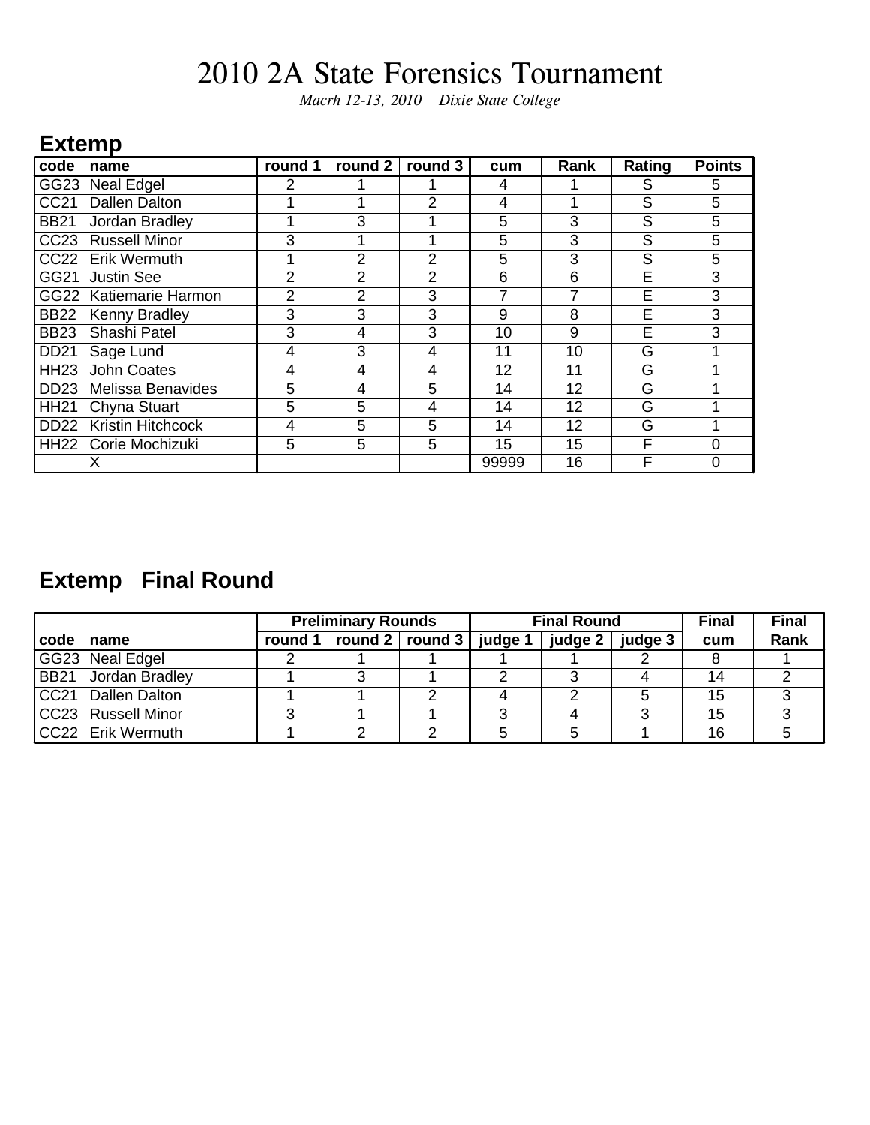*Macrh 12-13, 2010 Dixie State College*

#### **Extemp**

| code             | name                     | round 1        | round 2        | round 3        | cum   | Rank | Rating | <b>Points</b> |
|------------------|--------------------------|----------------|----------------|----------------|-------|------|--------|---------------|
| GG23             | <b>Neal Edgel</b>        | 2              |                |                | 4     |      | S      | 5             |
| CC21             | <b>Dallen Dalton</b>     |                |                | $\overline{2}$ | 4     |      | S      | 5             |
| <b>BB21</b>      | Jordan Bradley           |                | 3              |                | 5     | 3    | S      | 5             |
| CC <sub>23</sub> | <b>Russell Minor</b>     | 3              |                |                | 5     | 3    | S      | 5             |
| CC22             | Erik Wermuth             |                | $\overline{2}$ | 2              | 5     | 3    | S      | 5             |
| GG21             | <b>Justin See</b>        | 2              | 2              | 2              | 6     | 6    | E      | 3             |
| GG22             | Katiemarie Harmon        | $\overline{2}$ | $\overline{2}$ | 3              | 7     | 7    | E      | 3             |
| <b>BB22</b>      | Kenny Bradley            | 3              | 3              | 3              | 9     | 8    | E      | 3             |
| <b>BB23</b>      | Shashi Patel             | 3              | 4              | 3              | 10    | 9    | E      | 3             |
| <b>DD21</b>      | Sage Lund                | 4              | 3              | 4              | 11    | 10   | G      |               |
| <b>HH23</b>      | John Coates              | 4              | 4              | 4              | 12    | 11   | G      |               |
| DD <sub>23</sub> | <b>Melissa Benavides</b> | 5              | 4              | 5              | 14    | 12   | G      |               |
| <b>HH21</b>      | Chyna Stuart             | 5              | 5              | 4              | 14    | 12   | G      |               |
| <b>DD22</b>      | <b>Kristin Hitchcock</b> | 4              | 5              | 5              | 14    | 12   | G      |               |
| <b>HH22</b>      | Corie Mochizuki          | 5              | 5              | 5              | 15    | 15   | F      | 0             |
|                  | л                        |                |                |                | 99999 | 16   | F      | 0             |

### **Extemp Final Round**

|             |                   | <b>Preliminary Rounds</b>                   |  | <b>Final Round</b> |         | <b>Final</b> | <b>Final</b> |
|-------------|-------------------|---------------------------------------------|--|--------------------|---------|--------------|--------------|
| code        | name              | round 1 $ $ round 2 $ $ round 3 $ $ judge 1 |  | judge 2            | judge 3 | cum          | Rank         |
|             | GG23 Neal Edgel   |                                             |  |                    |         |              |              |
| <b>BB21</b> | Jordan Bradley    |                                             |  |                    |         | 14           |              |
| CC21        | Dallen Dalton     |                                             |  |                    |         | 15           |              |
| CC23        | Russell Minor     |                                             |  |                    |         | 15           |              |
|             | CC22 Erik Wermuth |                                             |  |                    |         | 16           |              |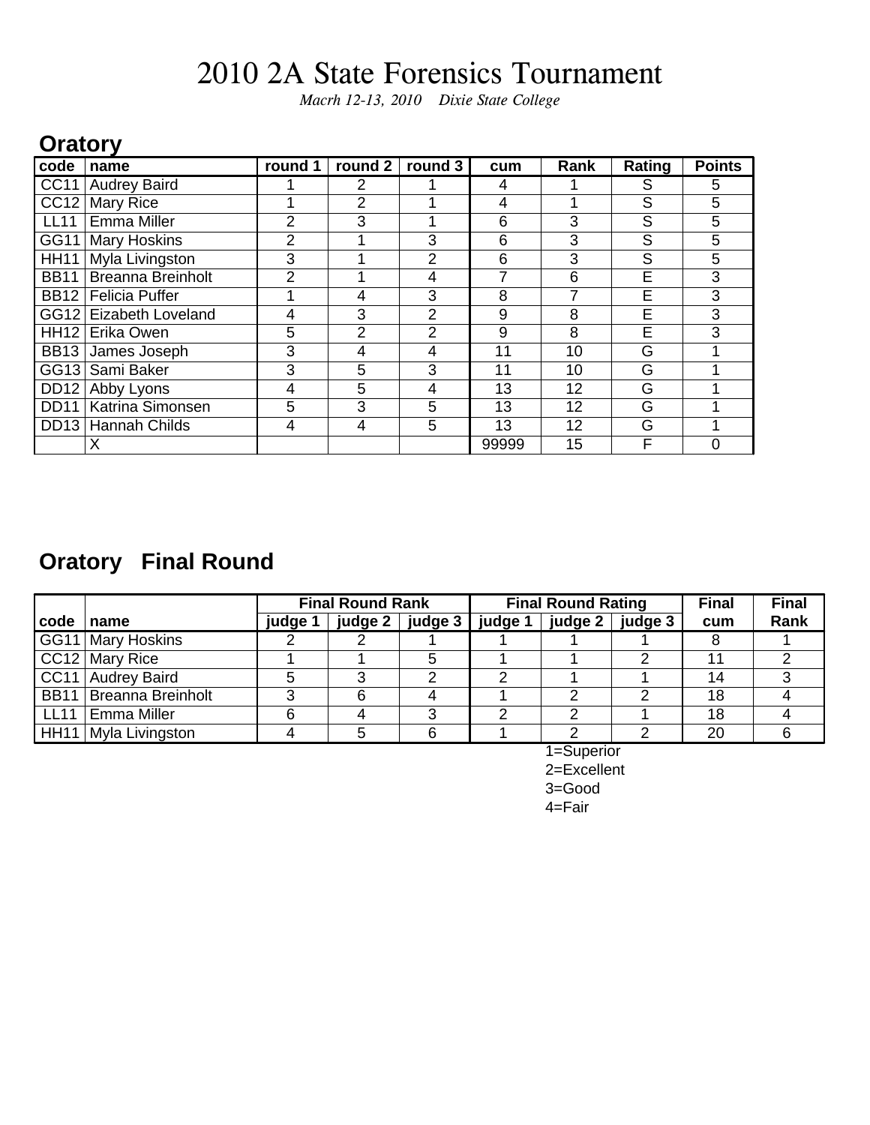*Macrh 12-13, 2010 Dixie State College*

#### **Oratory**

| code             | name                     | round 1 | round 2        | round 3 | cum   | Rank | Rating | <b>Points</b> |
|------------------|--------------------------|---------|----------------|---------|-------|------|--------|---------------|
| CC11             | <b>Audrey Baird</b>      |         | 2              |         | 4     |      | S      | 5             |
| CC <sub>12</sub> | Mary Rice                |         | 2              |         | 4     |      | S      | 5             |
| <b>LL11</b>      | <b>Emma Miller</b>       | 2       | 3              |         | 6     | 3    | S      | 5             |
| GG11             | <b>Mary Hoskins</b>      | 2       |                | 3       | 6     | 3    | S      | 5             |
| <b>HH11</b>      | Myla Livingston          | 3       |                | 2       | 6     | 3    | S      | 5             |
| <b>BB11</b>      | <b>Breanna Breinholt</b> | 2       |                | 4       |       | 6    | E      | 3             |
| <b>BB12</b>      | <b>Felicia Puffer</b>    |         | 4              | 3       | 8     | 7    | E      | 3             |
| GG12             | <b>Eizabeth Loveland</b> | 4       | 3              | 2       | 9     | 8    | E      | 3             |
| <b>HH12</b>      | Erika Owen               | 5       | $\overline{2}$ | 2       | 9     | 8    | E      | 3             |
| <b>BB13</b>      | James Joseph             | 3       | 4              | 4       | 11    | 10   | G      |               |
| GG13             | Sami Baker               | 3       | 5              | 3       | 11    | 10   | G      |               |
| DD12             | Abby Lyons               | 4       | 5              | 4       | 13    | 12   | G      |               |
| DD <sub>11</sub> | Katrina Simonsen         | 5       | 3              | 5       | 13    | 12   | G      |               |
|                  | DD13 Hannah Childs       | 4       | 4              | 5       | 13    | 12   | G      |               |
|                  | ∧                        |         |                |         | 99999 | 15   | F      |               |

### **Oratory Final Round**

|             |                   |         | <b>Final Round Rank</b> |         | <b>Final Round Rating</b> |         | <b>Final</b> | <b>Final</b> |
|-------------|-------------------|---------|-------------------------|---------|---------------------------|---------|--------------|--------------|
| code        | ∣ name            | judge 1 | judge $2 \parallel$     | judge 1 | judge 2 $ $               | judge 3 | cum          | Rank         |
|             | GG11 Mary Hoskins |         |                         |         |                           |         |              |              |
|             | $CC12$ Mary Rice  |         |                         |         |                           |         | 11           |              |
|             | CC11 Audrey Baird |         |                         | ⌒       |                           |         | 14           |              |
| <b>BB11</b> | Breanna Breinholt | ົ       |                         |         |                           |         | 18           |              |
| LL11        | Emma Miller       | 6       |                         | ⌒       |                           |         | 18           |              |
| <b>HH11</b> | Myla Livingston   |         |                         |         |                           |         | 20           |              |

1=Superior 2=Excellent 3=Good 4=Fair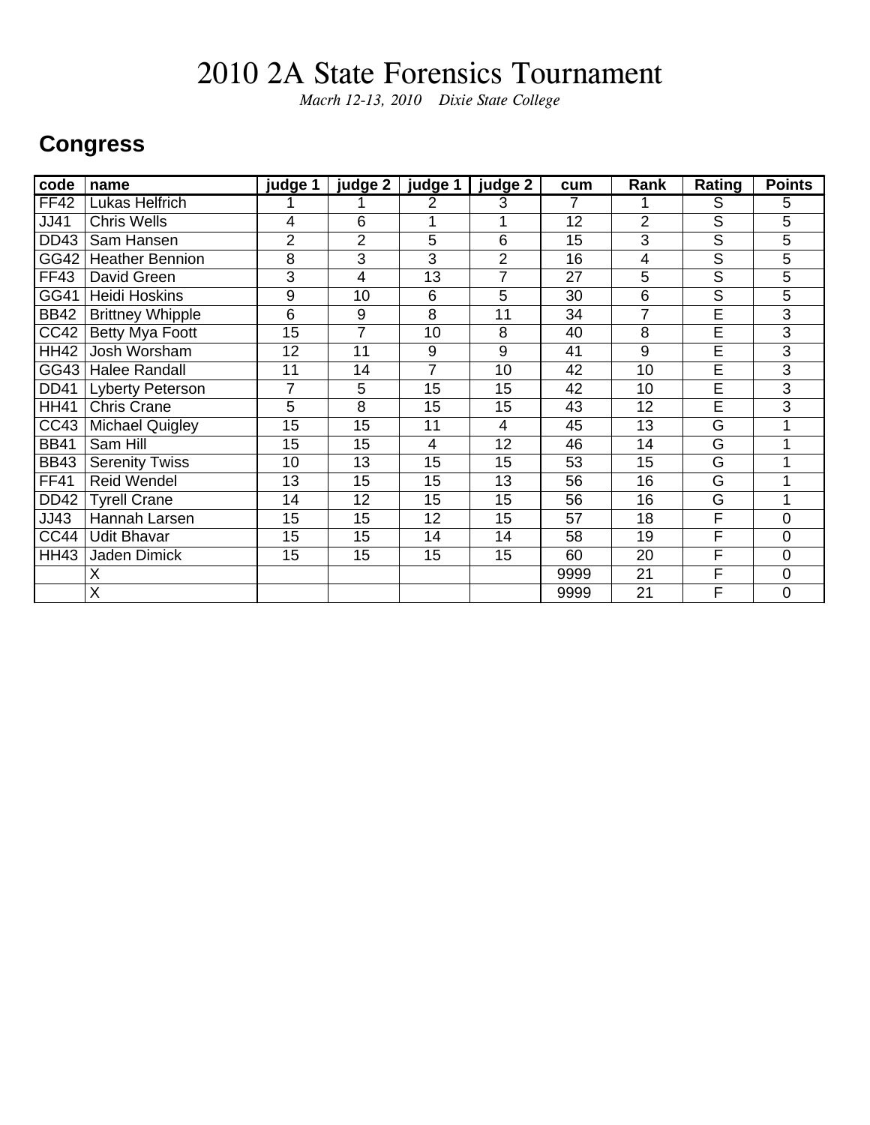*Macrh 12-13, 2010 Dixie State College*

#### **Congress**

| code        | name                    | judge 1 | judge 2         | judge 1        | judge 2        | cum  | Rank            | Rating                  | <b>Points</b>  |
|-------------|-------------------------|---------|-----------------|----------------|----------------|------|-----------------|-------------------------|----------------|
| <b>FF42</b> | <b>Lukas Helfrich</b>   |         |                 | 2              | 3              | 7    |                 | S                       | 5              |
| <b>JJ41</b> | <b>Chris Wells</b>      | 4       | $6\overline{6}$ |                | 1              | 12   | $\overline{2}$  | $\overline{\mathsf{s}}$ | 5              |
| DD43        | Sam Hansen              | 2       | $\overline{2}$  | 5              | 6              | 15   | 3               | $\overline{S}$          | 5              |
| GG42        | <b>Heather Bennion</b>  | 8       | 3               | 3              | $\overline{2}$ | 16   | 4               | S                       | 5              |
| <b>FF43</b> | David Green             | 3       | 4               | 13             | 7              | 27   | 5               | $\overline{\mathsf{s}}$ | 5              |
| GG41        | <b>Heidi Hoskins</b>    | 9       | 10              | 6              | 5              | 30   | 6               | $\overline{\mathsf{s}}$ | 5              |
| <b>BB42</b> | <b>Brittney Whipple</b> | 6       | 9               | $\overline{8}$ | 11             | 34   | $\overline{7}$  | Ē                       | 3              |
| CC42        | <b>Betty Mya Foott</b>  | 15      | 7               | 10             | 8              | 40   | 8               | E                       | 3              |
| <b>HH42</b> | Josh Worsham            | 12      | 11              | 9              | 9              | 41   | 9               | E                       | 3              |
| GG43        | <b>Halee Randall</b>    | 11      | 14              | 7              | 10             | 42   | $\overline{10}$ | $\overline{\mathsf{E}}$ | 3              |
| <b>DD41</b> | Lyberty Peterson        | 7       | 5               | 15             | 15             | 42   | 10              | $\overline{\mathsf{E}}$ | $\overline{3}$ |
| <b>HH41</b> | <b>Chris Crane</b>      | 5       | 8               | 15             | 15             | 43   | 12              | E                       | 3              |
| CC43        | <b>Michael Quigley</b>  | 15      | 15              | 11             | 4              | 45   | 13              | $\overline{\mathsf{G}}$ |                |
| <b>BB41</b> | Sam Hill                | 15      | 15              | 4              | 12             | 46   | 14              | G                       |                |
| <b>BB43</b> | <b>Serenity Twiss</b>   | 10      | 13              | 15             | 15             | 53   | 15              | $\overline{\mathsf{G}}$ |                |
| <b>FF41</b> | <b>Reid Wendel</b>      | 13      | 15              | 15             | 13             | 56   | 16              | $\overline{\mathsf{G}}$ |                |
| <b>DD42</b> | <b>Tyrell Crane</b>     | 14      | 12              | 15             | 15             | 56   | 16              | $\overline{\mathsf{G}}$ |                |
| JJ43        | <b>Hannah Larsen</b>    | 15      | 15              | 12             | 15             | 57   | 18              | F                       | 0              |
| CC44        | <b>Udit Bhavar</b>      | 15      | 15              | 14             | 14             | 58   | 19              | F                       | $\overline{0}$ |
| <b>HH43</b> | Jaden Dimick            | 15      | 15              | 15             | 15             | 60   | 20              | F                       | $\Omega$       |
|             | X                       |         |                 |                |                | 9999 | 21              | F                       | 0              |
|             | X                       |         |                 |                |                | 9999 | 21              | F                       | $\mathbf 0$    |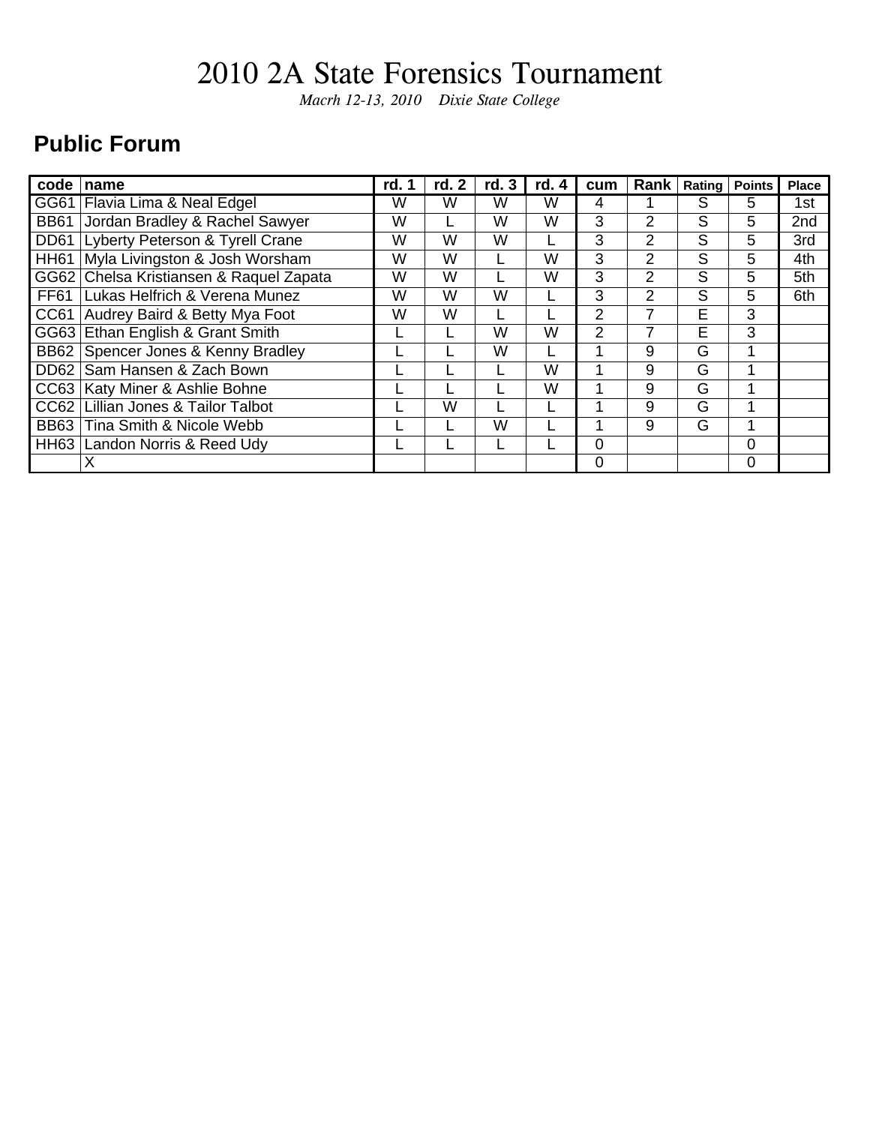*Macrh 12-13, 2010 Dixie State College*

### **Public Forum**

| code             | name                               | rd. | $\boldsymbol{\mathcal{P}}$<br>rd. | rd. 3 | rd. 4 | cum            | Rank           | Rating | <b>Points</b> | <b>Place</b> |
|------------------|------------------------------------|-----|-----------------------------------|-------|-------|----------------|----------------|--------|---------------|--------------|
| GG61             | Flavia Lima & Neal Edgel           | w   | W                                 | W     | W     | 4              |                | S      | 5             | 1st          |
| <b>BB61</b>      | Jordan Bradley & Rachel Sawyer     | W   |                                   | W     | W     | 3              | $\overline{2}$ | S      | 5             | 2nd          |
| <b>DD61</b>      | Lyberty Peterson & Tyrell Crane    | W   | w                                 | W     |       | 3              | 2              | S      | 5             | 3rd          |
| <b>HH61</b>      | Myla Livingston & Josh Worsham     | W   | W                                 |       | W     | 3              | 2              | S      | 5             | 4th          |
| GG62             | Chelsa Kristiansen & Raquel Zapata | W   | W                                 |       | W     | 3              | 2              | S      | 5             | 5th          |
| <b>FF61</b>      | Lukas Helfrich & Verena Munez      | W   | W                                 | W     |       | 3              | $\overline{2}$ | S      | 5             | 6th          |
| <b>CC61</b>      | Audrey Baird & Betty Mya Foot      | W   | W                                 |       |       | $\overline{2}$ | 7              | E      | 3             |              |
| GG63             | Ethan English & Grant Smith        |     |                                   | W     | W     | $\overline{2}$ |                | E      | 3             |              |
| <b>BB62</b>      | Spencer Jones & Kenny Bradley      |     |                                   | W     |       |                | 9              | G      |               |              |
| DD <sub>62</sub> | Sam Hansen & Zach Bown             |     |                                   |       | W     |                | 9              | G      | 4             |              |
| CC63             | Katy Miner & Ashlie Bohne          |     |                                   |       | W     |                | 9              | G      |               |              |
| CC62             | Lillian Jones & Tailor Talbot      |     | W                                 |       |       |                | 9              | G      |               |              |
| <b>BB63</b>      | Tina Smith & Nicole Webb           |     |                                   | W     |       |                | 9              | G      | 4             |              |
| <b>HH63</b>      | Landon Norris & Reed Udy           | L   |                                   |       |       | 0              |                |        | 0             |              |
|                  | ⋏                                  |     |                                   |       |       | 0              |                |        | 0             |              |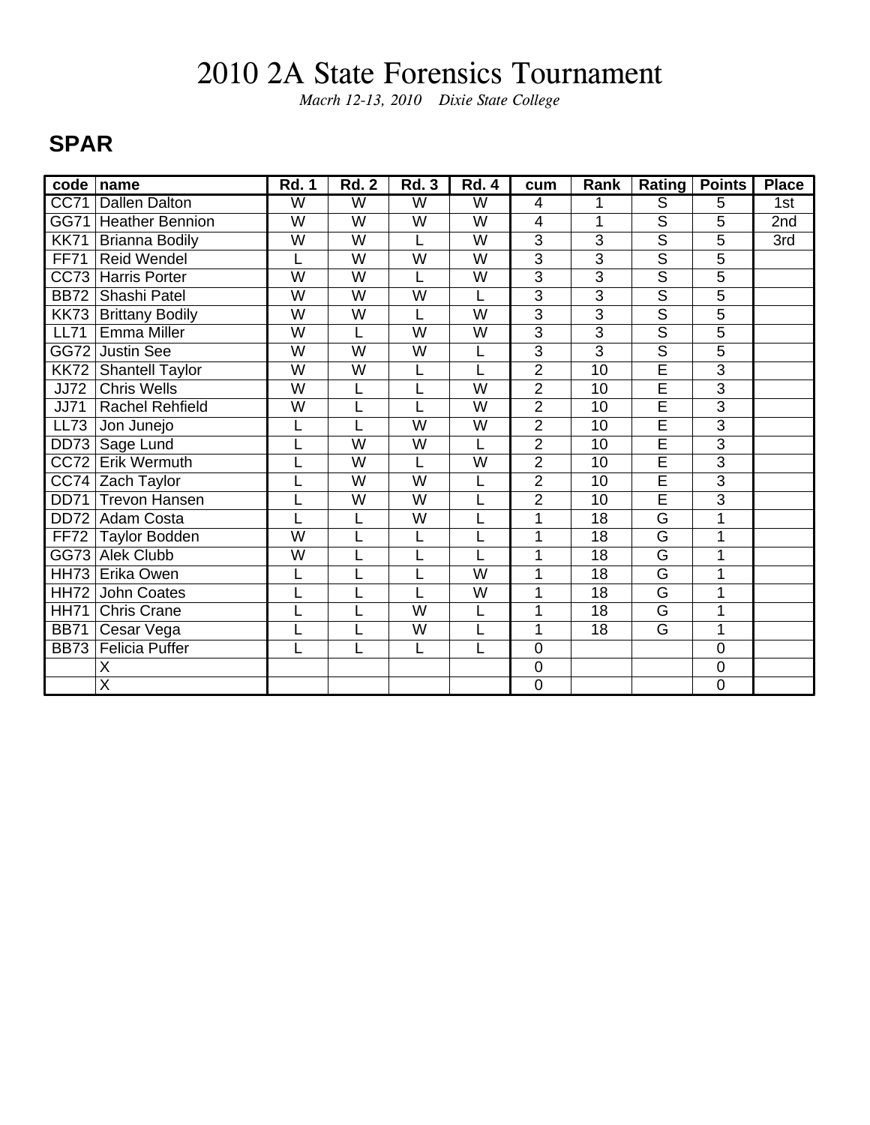*Macrh 12-13, 2010 Dixie State College*

#### **SPAR**

| code        | name                    | <b>Rd. 1</b>            | <b>Rd. 2</b>   | <b>Rd. 3</b>            | <b>Rd. 4</b>            | cum            | Rank            | $\overline{\mathsf{Rating}}$ | <b>Points</b>  | <b>Place</b> |
|-------------|-------------------------|-------------------------|----------------|-------------------------|-------------------------|----------------|-----------------|------------------------------|----------------|--------------|
| CC71        | <b>Dallen Dalton</b>    | $\overline{\mathsf{W}}$ | $\overline{W}$ | $\overline{\mathsf{W}}$ | $\overline{W}$          | $\overline{4}$ | 1               | $\overline{\mathsf{s}}$      | 5              | 1st          |
| GG71        | <b>Heather Bennion</b>  | W                       | W              | W                       | W                       | 4              | $\overline{1}$  | $\overline{\mathsf{s}}$      | 5              | 2nd          |
| <b>KK71</b> | <b>Brianna Bodily</b>   | W                       | W              | L                       | W                       | $\overline{3}$ | 3               | $\overline{\mathsf{s}}$      | 5              | 3rd          |
| <b>FF71</b> | <b>Reid Wendel</b>      | L                       | W              | W                       | W                       | 3              | 3               | $\overline{\mathsf{s}}$      | $\overline{5}$ |              |
| CC73        | <b>Harris Porter</b>    | $\overline{\mathsf{W}}$ | $\overline{W}$ | L                       | $\overline{\mathsf{W}}$ | $\overline{3}$ | $\overline{3}$  | $\overline{\mathsf{s}}$      | $\overline{5}$ |              |
| <b>BB72</b> | Shashi Patel            | W                       | W              | $\overline{W}$          | L                       | $\overline{3}$ | $\overline{3}$  | $\overline{\mathsf{s}}$      | $\overline{5}$ |              |
| <b>KK73</b> | <b>Brittany Bodily</b>  | W                       | W              | L                       | $\overline{W}$          | $\overline{3}$ | $\overline{3}$  | $\overline{\mathsf{s}}$      | $\overline{5}$ |              |
| <b>LL71</b> | Emma Miller             | $\overline{\mathsf{W}}$ | L              | W                       | $\overline{W}$          | $\overline{3}$ | $\overline{3}$  | $\overline{\mathsf{s}}$      | $\overline{5}$ |              |
| GG72        | <b>Justin See</b>       | W                       | W              | W                       | L                       | 3              | $\overline{3}$  | $\overline{\mathsf{s}}$      | 5              |              |
| <b>KK72</b> | Shantell Taylor         | $\overline{\mathsf{W}}$ | $\overline{W}$ | L                       | L                       | $\overline{2}$ | $\overline{10}$ | $\overline{\mathsf{E}}$      | $\overline{3}$ |              |
| JJ72        | <b>Chris Wells</b>      | $\overline{W}$          | L              | L                       | $\overline{W}$          | $\overline{2}$ | $\overline{10}$ | $\overline{\mathsf{E}}$      | $\overline{3}$ |              |
| <b>JJ71</b> | Rachel Rehfield         | W                       |                | L                       | W                       | $\overline{2}$ | 10              | $\overline{\mathsf{E}}$      | $\overline{3}$ |              |
| <b>LL73</b> | Jon Junejo              | L                       | Ĺ              | $\overline{\mathsf{w}}$ | W                       | $\overline{2}$ | 10              | Ē                            | $\overline{3}$ |              |
| DD73        | Sage Lund               | L                       | W              | W                       | L                       | $\overline{2}$ | 10              | $\overline{\mathsf{E}}$      | $\overline{3}$ |              |
| <b>CC72</b> | Erik Wermuth            |                         | W              | L                       | W                       | $\overline{2}$ | 10              | Ē                            | 3              |              |
| CC74        | Zach Taylor             | L                       | $\overline{W}$ | $\overline{\mathsf{W}}$ | L                       | $\overline{2}$ | 10              | $\overline{\mathsf{E}}$      | $\overline{3}$ |              |
| DD71        | <b>Trevon Hansen</b>    | L                       | W              | $\overline{W}$          | L                       | $\overline{2}$ | 10              | $\overline{\mathsf{E}}$      | $\overline{3}$ |              |
| DD72        | <b>Adam Costa</b>       |                         |                | W                       | L                       | 1              | 18              | $\overline{\mathsf{G}}$      | $\overline{1}$ |              |
| <b>FF72</b> | <b>Taylor Bodden</b>    | $\overline{\mathsf{w}}$ | L              | L                       | L                       | 1              | 18              | G                            | $\mathbf 1$    |              |
| GG73        | Alek Clubb              | W                       |                |                         | L                       | 1              | 18              | $\overline{\mathsf{G}}$      | 1              |              |
| <b>HH73</b> | Erika Owen              | L                       |                |                         | W                       | 1              | 18              | $\overline{\mathsf{G}}$      | 1              |              |
| <b>HH72</b> | John Coates             | L                       |                | L                       | W                       | 1              | 18              | $\overline{\mathsf{G}}$      | $\overline{1}$ |              |
| <b>HH71</b> | <b>Chris Crane</b>      | L                       |                | $\overline{W}$          | L                       | 1              | 18              | $\overline{\mathsf{G}}$      | $\mathbf{1}$   |              |
| <b>BB71</b> | Cesar Vega              |                         |                | W                       | L                       | 1              | 18              | $\overline{\mathsf{G}}$      | $\mathbf 1$    |              |
| <b>BB73</b> | <b>Felicia Puffer</b>   | L                       | L              | L                       | L                       | $\mathbf 0$    |                 |                              | $\mathbf 0$    |              |
|             | X                       |                         |                |                         |                         | $\mathbf 0$    |                 |                              | $\mathbf 0$    |              |
|             | $\overline{\mathsf{x}}$ |                         |                |                         |                         | $\mathbf 0$    |                 |                              | $\overline{0}$ |              |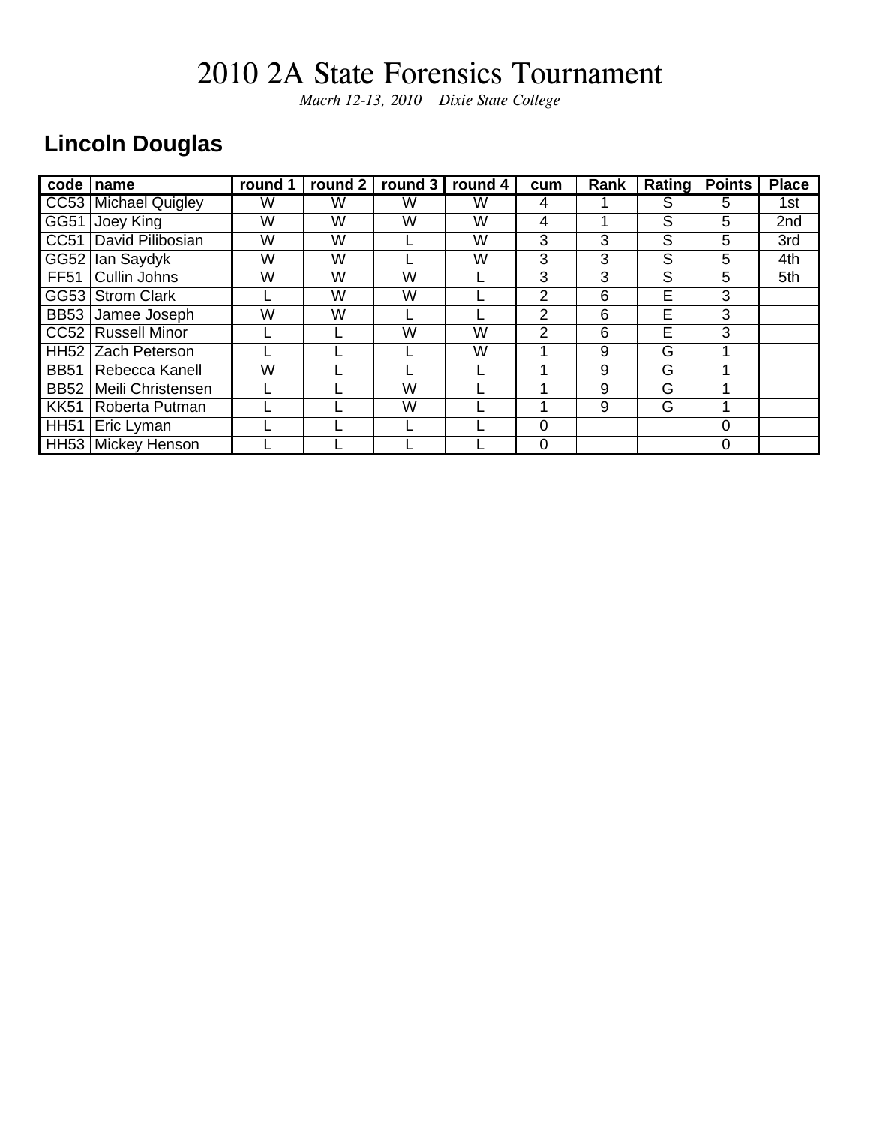*Macrh 12-13, 2010 Dixie State College*

### **Lincoln Douglas**

| code        | name                   | round 1 | round 2 | round 3 | round 4 | cum            | Rank | $\overline{\mathsf{Rating}}$ | <b>Points</b> | <b>Place</b> |
|-------------|------------------------|---------|---------|---------|---------|----------------|------|------------------------------|---------------|--------------|
| CC53        | <b>Michael Quigley</b> | W       | W       | W       | W       | 4              |      | S                            | 5             | 1st          |
| GG51        | Joey King              | W       | W       | W       | W       | 4              |      | S                            | 5             | 2nd          |
| CC51        | David Pilibosian       | W       | W       |         | W       | 3              | 3    | S                            | 5             | 3rd          |
| GG52        | lan Saydyk             | W       | W       |         | W       | 3              | 3    | S                            | 5             | 4th          |
| <b>FF51</b> | Cullin Johns           | W       | W       | W       |         | 3              | 3    | S                            | 5             | 5th          |
| GG53        | <b>Strom Clark</b>     |         | W       | W       |         | $\overline{2}$ | 6    | E                            | 3             |              |
| <b>BB53</b> | Jamee Joseph           | W       | W       |         |         | $\overline{2}$ | 6    | E                            | 3             |              |
| CC52        | <b>Russell Minor</b>   |         |         | W       | W       | $\overline{2}$ | 6    | E                            | 3             |              |
|             | HH52 Zach Peterson     |         |         |         | W       |                | 9    | G                            |               |              |
| <b>BB51</b> | Rebecca Kanell         | W       |         |         |         |                | 9    | G                            |               |              |
| <b>BB52</b> | Meili Christensen      |         |         | W       |         |                | 9    | G                            |               |              |
| <b>KK51</b> | Roberta Putman         |         |         | W       |         |                | 9    | G                            |               |              |
| <b>HH51</b> | Eric Lyman             |         |         |         |         | 0              |      |                              | 0             |              |
|             | HH53   Mickey Henson   |         |         |         |         | 0              |      |                              | 0             |              |